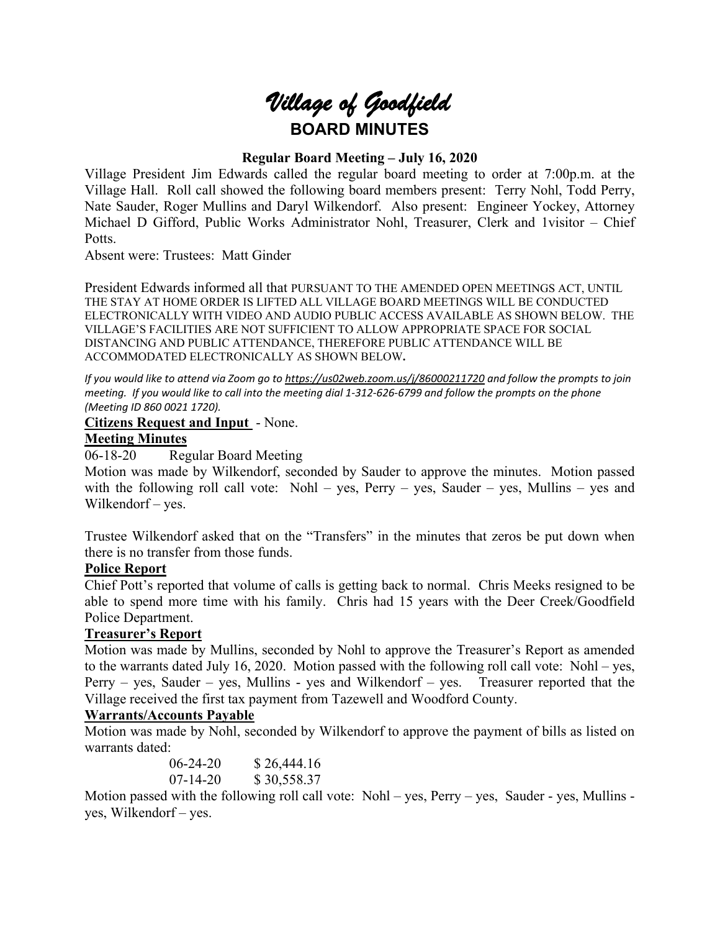

# **Regular Board Meeting – July 16, 2020**

Village President Jim Edwards called the regular board meeting to order at 7:00p.m. at the Village Hall. Roll call showed the following board members present: Terry Nohl, Todd Perry, Nate Sauder, Roger Mullins and Daryl Wilkendorf. Also present: Engineer Yockey, Attorney Michael D Gifford, Public Works Administrator Nohl, Treasurer, Clerk and 1visitor – Chief Potts.

Absent were: Trustees: Matt Ginder

President Edwards informed all that PURSUANT TO THE AMENDED OPEN MEETINGS ACT, UNTIL THE STAY AT HOME ORDER IS LIFTED ALL VILLAGE BOARD MEETINGS WILL BE CONDUCTED ELECTRONICALLY WITH VIDEO AND AUDIO PUBLIC ACCESS AVAILABLE AS SHOWN BELOW. THE VILLAGE'S FACILITIES ARE NOT SUFFICIENT TO ALLOW APPROPRIATE SPACE FOR SOCIAL DISTANCING AND PUBLIC ATTENDANCE, THEREFORE PUBLIC ATTENDANCE WILL BE ACCOMMODATED ELECTRONICALLY AS SHOWN BELOW**.**

*If you would like to attend via Zoom go to <https://us02web.zoom.us/j/86000211720> and follow the prompts to join meeting. If you would like to call into the meeting dial 1-312-626-6799 and follow the prompts on the phone (Meeting ID 860 0021 1720).*

**Citizens Request and Input** - None.

### **Meeting Minutes**

06-18-20 Regular Board Meeting

Motion was made by Wilkendorf, seconded by Sauder to approve the minutes. Motion passed with the following roll call vote: Nohl – yes, Perry – yes, Sauder – yes, Mullins – yes and Wilkendorf – yes.

Trustee Wilkendorf asked that on the "Transfers" in the minutes that zeros be put down when there is no transfer from those funds.

### **Police Report**

Chief Pott's reported that volume of calls is getting back to normal. Chris Meeks resigned to be able to spend more time with his family. Chris had 15 years with the Deer Creek/Goodfield Police Department.

### **Treasurer's Report**

Motion was made by Mullins, seconded by Nohl to approve the Treasurer's Report as amended to the warrants dated July 16, 2020. Motion passed with the following roll call vote: Nohl – yes, Perry – yes, Sauder – yes, Mullins - yes and Wilkendorf – yes. Treasurer reported that the Village received the first tax payment from Tazewell and Woodford County.

### **Warrants/Accounts Payable**

Motion was made by Nohl, seconded by Wilkendorf to approve the payment of bills as listed on warrants dated:

> 06-24-20 \$ 26,444.16 07-14-20 \$ 30,558.37

Motion passed with the following roll call vote: Nohl – yes, Perry – yes, Sauder - yes, Mullins yes, Wilkendorf – yes.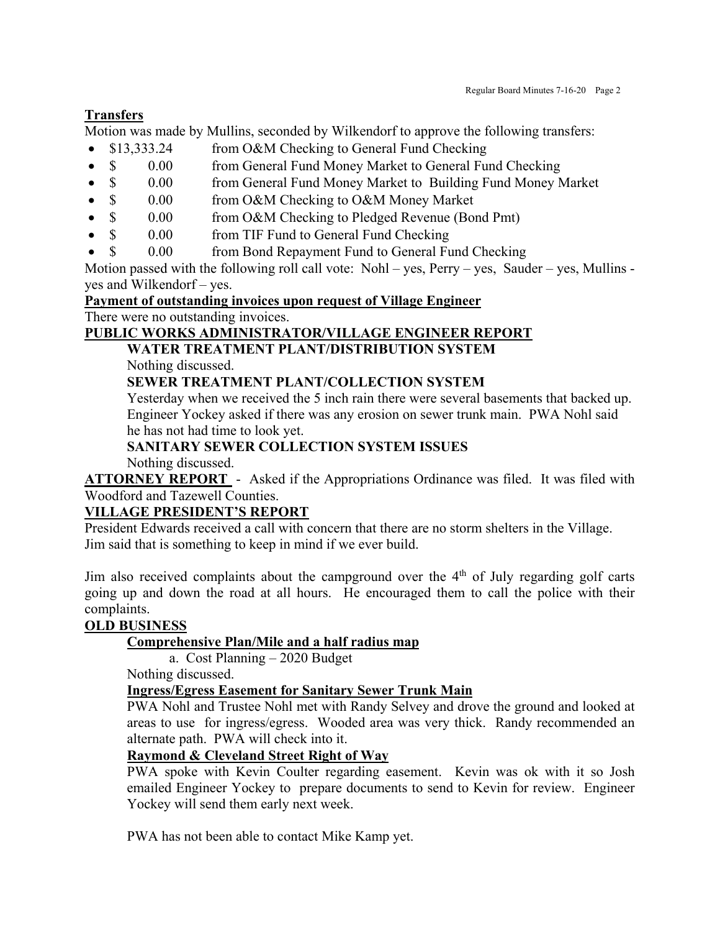# **Transfers**

Motion was made by Mullins, seconded by Wilkendorf to approve the following transfers:

- \$13,333.24 from O&M Checking to General Fund Checking
- \$ 0.00 from General Fund Money Market to General Fund Checking
- \$ 0.00 from General Fund Money Market to Building Fund Money Market
- \$ 0.00 from O&M Checking to O&M Money Market
- \$ 0.00 from O&M Checking to Pledged Revenue (Bond Pmt)
- \$ 0.00 from TIF Fund to General Fund Checking
- \$ 0.00 from Bond Repayment Fund to General Fund Checking

Motion passed with the following roll call vote: Nohl – yes, Perry – yes, Sauder – yes, Mullins yes and Wilkendorf – yes.

**Payment of outstanding invoices upon request of Village Engineer**

There were no outstanding invoices.

# **PUBLIC WORKS ADMINISTRATOR/VILLAGE ENGINEER REPORT**

# **WATER TREATMENT PLANT/DISTRIBUTION SYSTEM**

Nothing discussed.

# **SEWER TREATMENT PLANT/COLLECTION SYSTEM**

Yesterday when we received the 5 inch rain there were several basements that backed up. Engineer Yockey asked if there was any erosion on sewer trunk main. PWA Nohl said he has not had time to look yet.

# **SANITARY SEWER COLLECTION SYSTEM ISSUES**

Nothing discussed.

**ATTORNEY REPORT** - Asked if the Appropriations Ordinance was filed. It was filed with Woodford and Tazewell Counties.

# **VILLAGE PRESIDENT'S REPORT**

President Edwards received a call with concern that there are no storm shelters in the Village. Jim said that is something to keep in mind if we ever build.

Jim also received complaints about the campground over the  $4<sup>th</sup>$  of July regarding golf carts going up and down the road at all hours. He encouraged them to call the police with their complaints.

# **OLD BUSINESS**

# **Comprehensive Plan/Mile and a half radius map**

a. Cost Planning – 2020 Budget

Nothing discussed.

# **Ingress/Egress Easement for Sanitary Sewer Trunk Main**

PWA Nohl and Trustee Nohl met with Randy Selvey and drove the ground and looked at areas to use for ingress/egress. Wooded area was very thick. Randy recommended an alternate path. PWA will check into it.

# **Raymond & Cleveland Street Right of Way**

PWA spoke with Kevin Coulter regarding easement. Kevin was ok with it so Josh emailed Engineer Yockey to prepare documents to send to Kevin for review. Engineer Yockey will send them early next week.

PWA has not been able to contact Mike Kamp yet.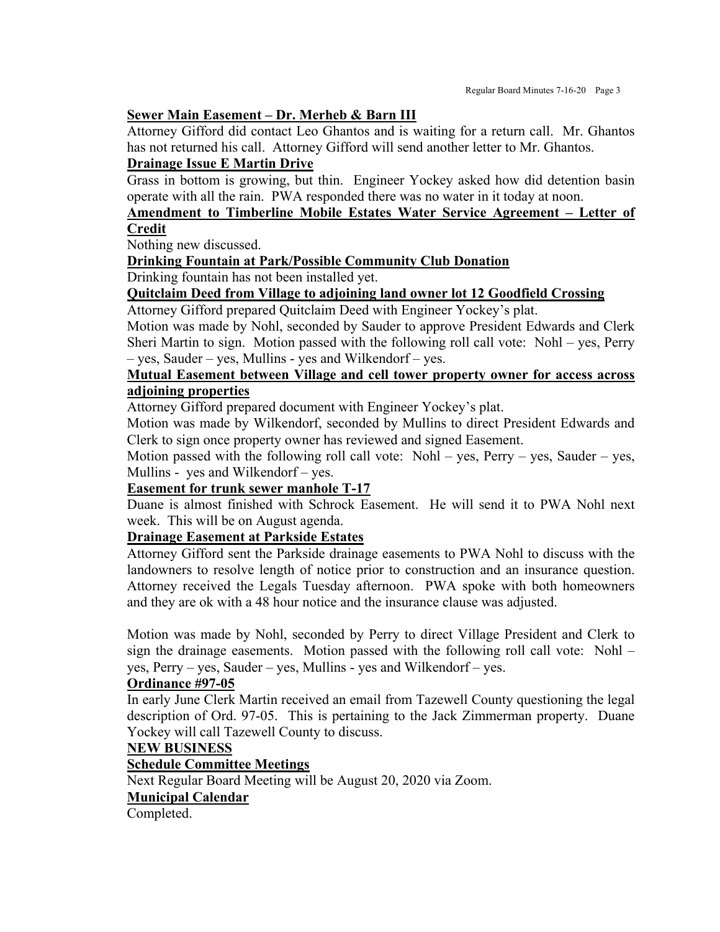#### **Sewer Main Easement – Dr. Merheb & Barn III**

Attorney Gifford did contact Leo Ghantos and is waiting for a return call. Mr. Ghantos has not returned his call. Attorney Gifford will send another letter to Mr. Ghantos.

### **Drainage Issue E Martin Drive**

Grass in bottom is growing, but thin. Engineer Yockey asked how did detention basin operate with all the rain. PWA responded there was no water in it today at noon.

# **Amendment to Timberline Mobile Estates Water Service Agreement – Letter of Credit**

Nothing new discussed.

### **Drinking Fountain at Park/Possible Community Club Donation**

Drinking fountain has not been installed yet.

# **Quitclaim Deed from Village to adjoining land owner lot 12 Goodfield Crossing**

Attorney Gifford prepared Quitclaim Deed with Engineer Yockey's plat.

Motion was made by Nohl, seconded by Sauder to approve President Edwards and Clerk Sheri Martin to sign. Motion passed with the following roll call vote: Nohl – yes, Perry – yes, Sauder – yes, Mullins - yes and Wilkendorf – yes.

# **Mutual Easement between Village and cell tower property owner for access across adjoining properties**

Attorney Gifford prepared document with Engineer Yockey's plat.

Motion was made by Wilkendorf, seconded by Mullins to direct President Edwards and Clerk to sign once property owner has reviewed and signed Easement.

Motion passed with the following roll call vote: Nohl – yes, Perry – yes, Sauder – yes, Mullins - yes and Wilkendorf – yes.

#### **Easement for trunk sewer manhole T-17**

Duane is almost finished with Schrock Easement. He will send it to PWA Nohl next week. This will be on August agenda.

# **Drainage Easement at Parkside Estates**

Attorney Gifford sent the Parkside drainage easements to PWA Nohl to discuss with the landowners to resolve length of notice prior to construction and an insurance question. Attorney received the Legals Tuesday afternoon. PWA spoke with both homeowners and they are ok with a 48 hour notice and the insurance clause was adjusted.

Motion was made by Nohl, seconded by Perry to direct Village President and Clerk to sign the drainage easements. Motion passed with the following roll call vote: Nohl – yes, Perry – yes, Sauder – yes, Mullins - yes and Wilkendorf – yes.

#### **Ordinance #97-05**

In early June Clerk Martin received an email from Tazewell County questioning the legal description of Ord. 97-05. This is pertaining to the Jack Zimmerman property. Duane Yockey will call Tazewell County to discuss.

### **NEW BUSINESS**

### **Schedule Committee Meetings**

Next Regular Board Meeting will be August 20, 2020 via Zoom.

### **Municipal Calendar**

Completed.